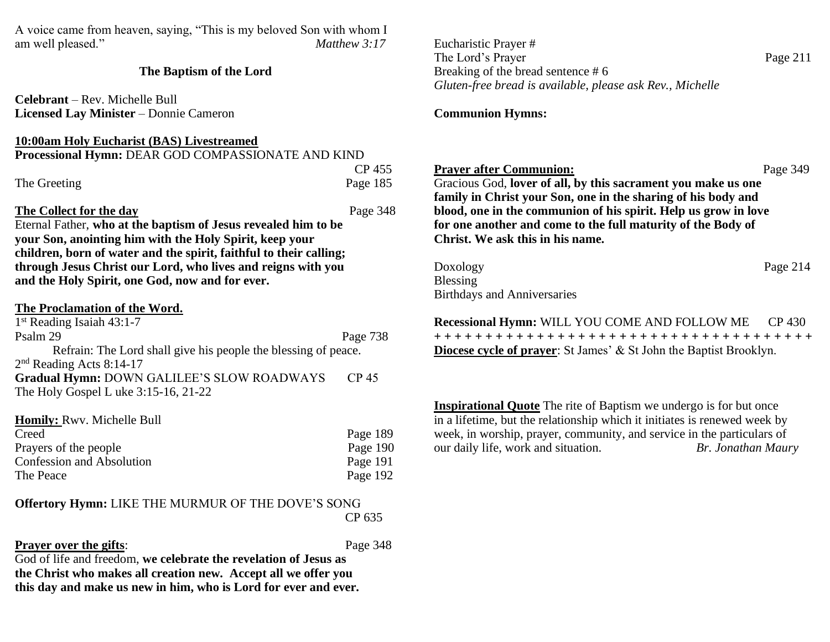A voice came from heaven, saying, "This is my beloved Son with whom I am well pleased." *Matthew 3:17*

#### **The Baptism of the Lord**

**Celebrant** – Rev. Michelle Bull **Licensed Lay Minister** – Donnie Cameron

# **10:00am Holy Eucharist (BAS) Livestreamed**

| Processional Hymn: DEAR GOD COMPASSIONATE AND KIND |          |
|----------------------------------------------------|----------|
|                                                    | CP 455   |
| The Greeting                                       | Page 185 |

## **The Collect for the day** Page 348

Eternal Father, **who at the baptism of Jesus revealed him to be your Son, anointing him with the Holy Spirit, keep your children, born of water and the spirit, faithful to their calling; through Jesus Christ our Lord, who lives and reigns with you and the Holy Spirit, one God, now and for ever.**

| The Proclamation of the Word.                                  |                  |
|----------------------------------------------------------------|------------------|
| $1st$ Reading Isaiah 43:1-7                                    |                  |
| Psalm 29                                                       | Page 738         |
| Refrain: The Lord shall give his people the blessing of peace. |                  |
| $2nd$ Reading Acts 8:14-17                                     |                  |
| Gradual Hymn: DOWN GALILEE'S SLOW ROADWAYS                     | CP <sub>45</sub> |
| The Holy Gospel L uke 3:15-16, 21-22                           |                  |

| <b>Homily:</b> Rwy. Michelle Bull |            |
|-----------------------------------|------------|
| Creed                             | Page 189   |
| Prayers of the people             | Page $190$ |
| Confession and Absolution         | Page 191   |
| The Peace                         | Page 192   |

#### **Offertory Hymn:** LIKE THE MURMUR OF THE DOVE'S SONG CP 635

# **Prayer over the gifts:** Page 348

God of life and freedom, **we celebrate the revelation of Jesus as the Christ who makes all creation new. Accept all we offer you this day and make us new in him, who is Lord for ever and ever.**  Eucharistic Prayer # The Lord's Prayer Page 211 Breaking of the bread sentence # 6 *Gluten-free bread is available, please ask Rev., Michelle*

## **Communion Hymns:**

## **Prayer after Communion:** Page 349

Gracious God, **lover of all, by this sacrament you make us one family in Christ your Son, one in the sharing of his body and blood, one in the communion of his spirit. Help us grow in love for one another and come to the full maturity of the Body of Christ. We ask this in his name.** 

| Doxology                           | Page $214$ |
|------------------------------------|------------|
| Blessing                           |            |
| <b>Birthdays and Anniversaries</b> |            |

**Recessional Hymn:** WILL YOU COME AND FOLLOW ME CP 430 **+ + + + + + + + + + + + + + + + + + + + + + + + + + + + + + + + + + + + + Diocese cycle of prayer**: St James' & St John the Baptist Brooklyn.

**Inspirational Quote** The rite of Baptism we undergo is for but once in a lifetime, but the relationship which it initiates is renewed week by week, in worship, prayer, community, and service in the particulars of our daily life, work and situation. *Br. Jonathan Maury*